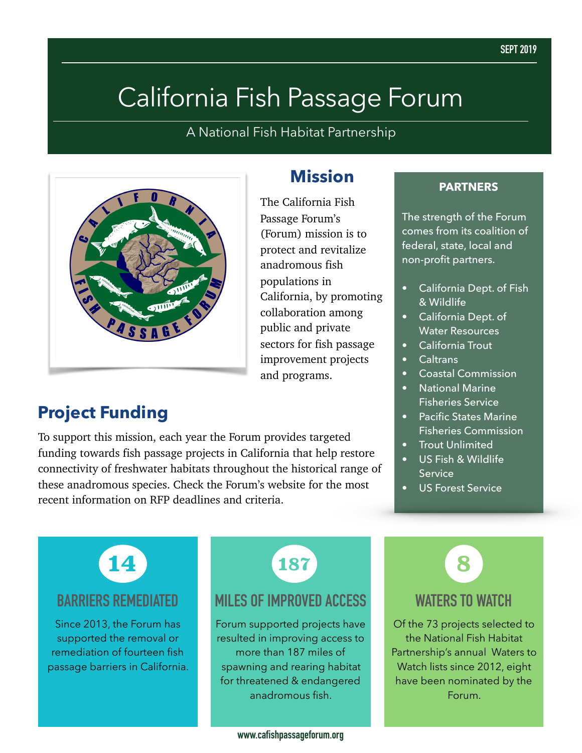# California Fish Passage Forum

A National Fish Habitat Partnership



# **Project Funding**

To support this mission, each year the Forum provides targeted funding towards fish passage projects in California that help restore connectivity of freshwater habitats throughout the historical range of these anadromous species. Check the Forum's website for the most recent information on RFP deadlines and criteria.

### **Mission**

The California Fish Passage Forum's (Forum) mission is to protect and revitalize anadromous fish populations in California, by promoting collaboration among public and private sectors for fish passage improvement projects and programs.

### **PARTNERS**

The strength of the Forum comes from its coalition of federal, state, local and non-profit partners.

- California Dept. of Fish & Wildlife
- **•** California Dept. of Water Resources
- California Trout
- Caltrans
- Coastal Commission
- National Marine Fisheries Service
- Pacific States Marine Fisheries Commission
- **Trout Unlimited**
- US Fish & Wildlife **Service**
- US Forest Service

**14**

### **BARRIERS REMEDIATED**

Since 2013, the Forum has supported the removal or remediation of fourteen fish passage barriers in California. **187**

### **MILES OF IMPROVED ACCESS**

Forum supported projects have resulted in improving access to more than 187 miles of spawning and rearing habitat for threatened & endangered anadromous fish.

**WATERS TO WATCH 8**

Of the 73 projects selected to the National Fish Habitat Partnership's annual Waters to Watch lists since 2012, eight have been nominated by the Forum.